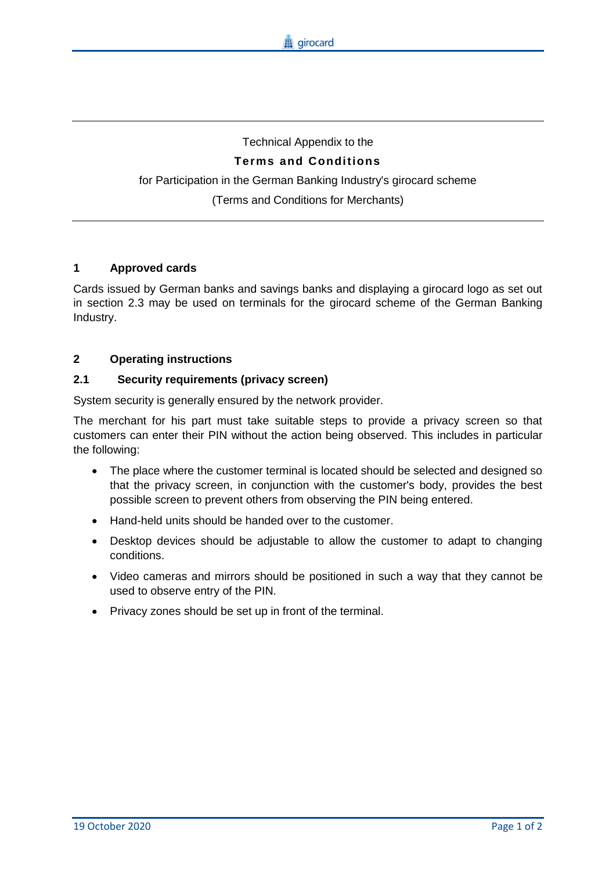# Technical Appendix to the **Terms and Conditions** for Participation in the German Banking Industry's girocard scheme (Terms and Conditions for Merchants)

## **1 Approved cards**

Cards issued by German banks and savings banks and displaying a girocard logo as set out in section 2.3 may be used on terminals for the girocard scheme of the German Banking Industry.

## **2 Operating instructions**

#### **2.1 Security requirements (privacy screen)**

System security is generally ensured by the network provider.

The merchant for his part must take suitable steps to provide a privacy screen so that customers can enter their PIN without the action being observed. This includes in particular the following:

- The place where the customer terminal is located should be selected and designed so that the privacy screen, in conjunction with the customer's body, provides the best possible screen to prevent others from observing the PIN being entered.
- Hand-held units should be handed over to the customer.
- Desktop devices should be adjustable to allow the customer to adapt to changing conditions.
- Video cameras and mirrors should be positioned in such a way that they cannot be used to observe entry of the PIN.
- Privacy zones should be set up in front of the terminal.